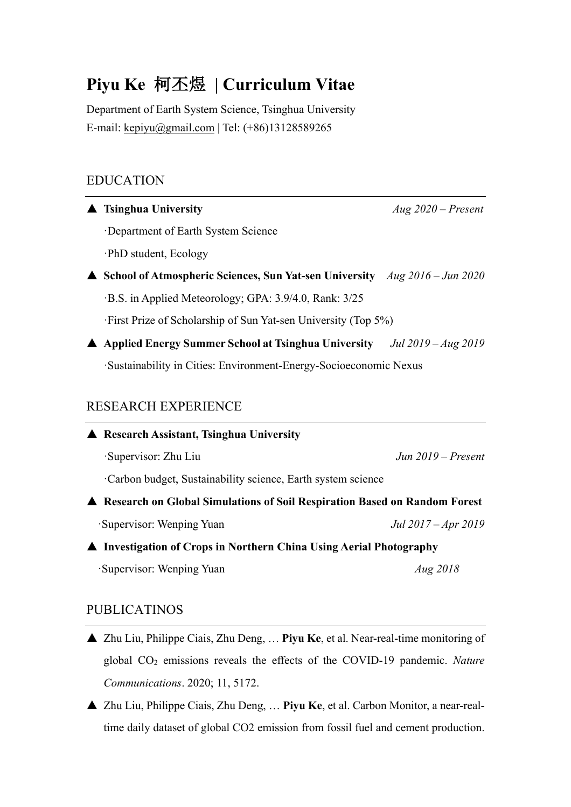# **Piyu Ke** 柯丕煜 **| Curriculum Vitae**

Department of Earth System Science, Tsinghua University E-mail: kepiyu@gmail.com | Tel: (+86)13128589265

## EDUCATION

| <b>Tsinghua University</b>                                                              | $Aug\,2020 - Present$ |
|-----------------------------------------------------------------------------------------|-----------------------|
| Department of Earth System Science                                                      |                       |
| ·PhD student, Ecology                                                                   |                       |
| <b>A</b> School of Atmospheric Sciences, Sun Yat-sen University $Aug\ 2016 - Jun\ 2020$ |                       |
| B.S. in Applied Meteorology; GPA: 3.9/4.0, Rank: 3/25                                   |                       |
| First Prize of Scholarship of Sun Yat-sen University (Top 5%)                           |                       |
| ▲ Applied Energy Summer School at Tsinghua University <i>Jul 2019 - Aug 2019</i>        |                       |
| Sustainability in Cities: Environment-Energy-Socioeconomic Nexus                        |                       |
| <b>RESEARCH EXPERIENCE</b><br>▲ Research Assistant, Tsinghua University                 |                       |
| Supervisor: Zhu Liu                                                                     | $Jun 2019 - Present$  |
| Carbon budget, Sustainability science, Earth system science                             |                       |
| ▲ Research on Global Simulations of Soil Respiration Based on Random Forest             |                       |
| Supervisor: Wenping Yuan                                                                | Jul 2017 – Apr 2019   |
| ▲ Investigation of Crops in Northern China Using Aerial Photography                     |                       |
| Supervisor: Wenping Yuan                                                                | <i>Aug 2018</i>       |

## PUBLICATINOS

- ▲ Zhu Liu, Philippe Ciais, Zhu Deng, … **Piyu Ke**, et al. Near-real-time monitoring of global CO2 emissions reveals the effects of the COVID-19 pandemic. *Nature Communications*. 2020; 11, 5172.
- ▲ Zhu Liu, Philippe Ciais, Zhu Deng, … **Piyu Ke**, et al. Carbon Monitor, a near-realtime daily dataset of global CO2 emission from fossil fuel and cement production.